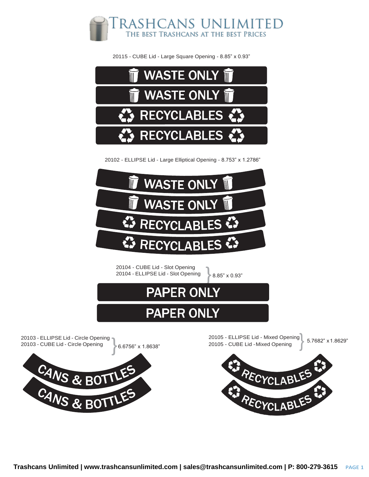

20115 - CUBE Lid - Large Square Opening - 8.85" x 0.93"



20102 - ELLIPSE Lid - Large Elliptical Opening - 8.753" x 1.2786"



20104 - CUBE Lid - Slot Opening

8.85" x 0.93"



## **PAPER ONLY**



20105 - ELLIPSE Lid - Mixed Opening<br>20105 - CUBE Lid -Mixed Opening 20105 - CUBE Lid -Mixed Opening 5.7682" x1.8629"RECYCLABLE